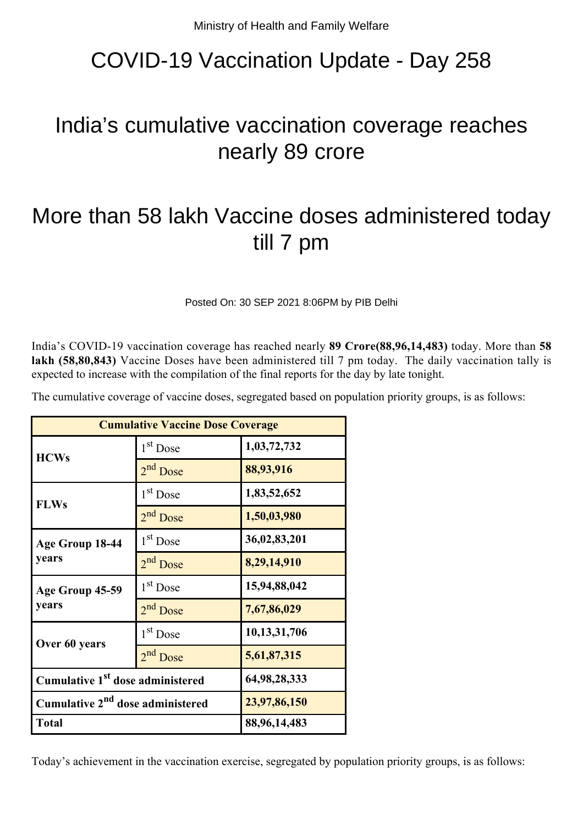## COVID-19 Vaccination Update - Day 258

## India's cumulative vaccination coverage reaches nearly 89 crore

## More than 58 lakh Vaccine doses administered today till 7 pm

Posted On: 30 SEP 2021 8:06PM by PIB Delhi

India's COVID-19 vaccination coverage has reached nearly **89 Crore(88,96,14,483)** today. More than **58** lakh (58,80,843) Vaccine Doses have been administered till 7 pm today. The daily vaccination tally is expected to increase with the compilation of the final reports for the day by late tonight.

| The cumulative coverage of vaccine doses, segregated based on population priority groups, is as follows: |  |  |
|----------------------------------------------------------------------------------------------------------|--|--|
|                                                                                                          |  |  |

| <b>Cumulative Vaccine Dose Coverage</b>      |                      |              |  |  |
|----------------------------------------------|----------------------|--------------|--|--|
| <b>HCWs</b>                                  | 1 <sup>st</sup> Dose | 1,03,72,732  |  |  |
|                                              | 2 <sup>nd</sup> Dose | 88,93,916    |  |  |
| <b>FLWs</b>                                  | 1 <sup>st</sup> Dose | 1,83,52,652  |  |  |
|                                              | $2nd$ Dose           | 1,50,03,980  |  |  |
| Age Group 18-44                              | $1st$ Dose           | 36,02,83,201 |  |  |
| years                                        | 2 <sup>nd</sup> Dose | 8,29,14,910  |  |  |
| Age Group 45-59                              | $1st$ Dose           | 15,94,88,042 |  |  |
| years                                        | $2nd$ Dose           | 7,67,86,029  |  |  |
| Over 60 years                                | $1st$ Dose           | 10,13,31,706 |  |  |
|                                              | 2 <sup>nd</sup> Dose | 5,61,87,315  |  |  |
| Cumulative 1 <sup>st</sup> dose administered |                      | 64,98,28,333 |  |  |
| Cumulative 2 <sup>nd</sup> dose administered |                      | 23,97,86,150 |  |  |
| <b>Total</b>                                 |                      | 88,96,14,483 |  |  |

Today's achievement in the vaccination exercise, segregated by population priority groups, is as follows: